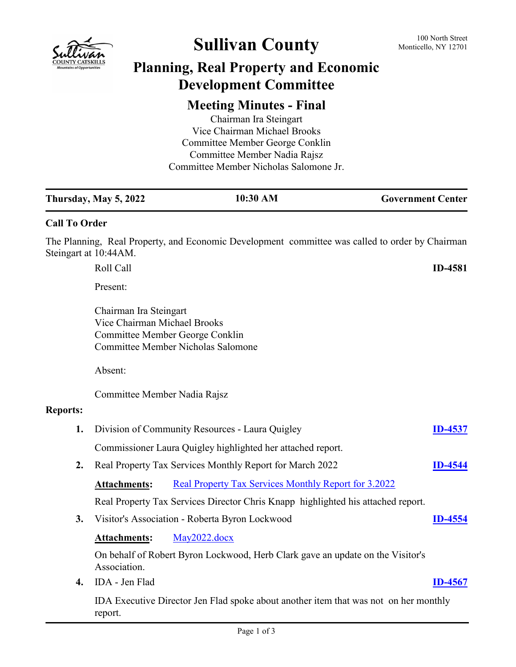

# Sullivan County 100 North Street

## **Planning, Real Property and Economic Development Committee**

### **Meeting Minutes - Final**

Chairman Ira Steingart Vice Chairman Michael Brooks Committee Member George Conklin Committee Member Nadia Rajsz Committee Member Nicholas Salomone Jr.

|                       | <b>Thursday, May 5, 2022</b>                                                                    | 10:30 AM<br><b>Government Center</b>                                                            |                |  |  |
|-----------------------|-------------------------------------------------------------------------------------------------|-------------------------------------------------------------------------------------------------|----------------|--|--|
| <b>Call To Order</b>  |                                                                                                 |                                                                                                 |                |  |  |
| Steingart at 10:44AM. |                                                                                                 | The Planning, Real Property, and Economic Development committee was called to order by Chairman |                |  |  |
|                       | Roll Call                                                                                       |                                                                                                 | <b>ID-4581</b> |  |  |
|                       | Present:                                                                                        |                                                                                                 |                |  |  |
|                       | Chairman Ira Steingart<br>Vice Chairman Michael Brooks                                          | Committee Member George Conklin<br><b>Committee Member Nicholas Salomone</b>                    |                |  |  |
|                       | Absent:                                                                                         |                                                                                                 |                |  |  |
|                       | Committee Member Nadia Rajsz                                                                    |                                                                                                 |                |  |  |
| <b>Reports:</b>       |                                                                                                 |                                                                                                 |                |  |  |
| 1.                    |                                                                                                 | Division of Community Resources - Laura Quigley                                                 | <b>ID-4537</b> |  |  |
|                       | Commissioner Laura Quigley highlighted her attached report.                                     |                                                                                                 |                |  |  |
| 2.                    |                                                                                                 | Real Property Tax Services Monthly Report for March 2022                                        | <b>ID-4544</b> |  |  |
|                       | <b>Attachments:</b>                                                                             | Real Property Tax Services Monthly Report for 3.2022                                            |                |  |  |
|                       |                                                                                                 | Real Property Tax Services Director Chris Knapp highlighted his attached report.                |                |  |  |
| 3.                    |                                                                                                 | Visitor's Association - Roberta Byron Lockwood                                                  | <b>ID-4554</b> |  |  |
|                       | <b>Attachments:</b>                                                                             | May2022.docx                                                                                    |                |  |  |
|                       | Association.                                                                                    | On behalf of Robert Byron Lockwood, Herb Clark gave an update on the Visitor's                  |                |  |  |
| $\boldsymbol{4}$ .    | IDA - Jen Flad                                                                                  |                                                                                                 | <b>ID-4567</b> |  |  |
|                       | IDA Executive Director Jen Flad spoke about another item that was not on her monthly<br>report. |                                                                                                 |                |  |  |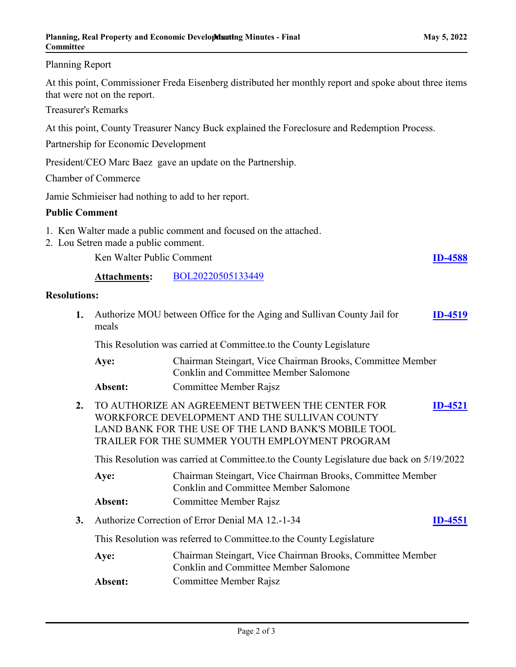#### Planning Report

At this point, Commissioner Freda Eisenberg distributed her monthly report and spoke about three items that were not on the report.

Treasurer's Remarks

At this point, County Treasurer Nancy Buck explained the Foreclosure and Redemption Process.

Partnership for Economic Development

President/CEO Marc Baez gave an update on the Partnership.

Chamber of Commerce

Jamie Schmieiser had nothing to add to her report.

#### **Public Comment**

- 1. Ken Walter made a public comment and focused on the attached.
- 2. Lou Setren made a public comment.

Ken Walter Public Comment **[ID-4588](http://sullivancountyny.legistar.com/gateway.aspx?m=l&id=/matter.aspx?key=1614)** 

**Attachments:** [BOL20220505133449](http://sullivancountyny.legistar.com/gateway.aspx?M=F&ID=39b3cb63-cb21-475e-9d5e-61e69913cbba.pdf)

#### **Resolutions:**

| Authorize MOU between Office for the Aging and Sullivan County Jail for<br>1.<br>meals |                                                                                          |                                                                                                                                                                                                              |                |  |  |
|----------------------------------------------------------------------------------------|------------------------------------------------------------------------------------------|--------------------------------------------------------------------------------------------------------------------------------------------------------------------------------------------------------------|----------------|--|--|
|                                                                                        |                                                                                          | This Resolution was carried at Committee.to the County Legislature                                                                                                                                           |                |  |  |
|                                                                                        | Aye:                                                                                     | Chairman Steingart, Vice Chairman Brooks, Committee Member<br><b>Conklin and Committee Member Salomone</b>                                                                                                   |                |  |  |
|                                                                                        | Absent:                                                                                  | Committee Member Rajsz                                                                                                                                                                                       |                |  |  |
| 2.                                                                                     |                                                                                          | TO AUTHORIZE AN AGREEMENT BETWEEN THE CENTER FOR<br>WORKFORCE DEVELOPMENT AND THE SULLIVAN COUNTY<br>LAND BANK FOR THE USE OF THE LAND BANK'S MOBILE TOOL<br>TRAILER FOR THE SUMMER YOUTH EMPLOYMENT PROGRAM | <b>ID-4521</b> |  |  |
|                                                                                        | This Resolution was carried at Committee.to the County Legislature due back on 5/19/2022 |                                                                                                                                                                                                              |                |  |  |
|                                                                                        | Aye:                                                                                     | Chairman Steingart, Vice Chairman Brooks, Committee Member<br><b>Conklin and Committee Member Salomone</b>                                                                                                   |                |  |  |
|                                                                                        | Absent:                                                                                  | Committee Member Rajsz                                                                                                                                                                                       |                |  |  |
| 3.                                                                                     |                                                                                          | Authorize Correction of Error Denial MA 12.-1-34                                                                                                                                                             | <b>ID-4551</b> |  |  |
|                                                                                        | This Resolution was referred to Committee.to the County Legislature                      |                                                                                                                                                                                                              |                |  |  |
|                                                                                        | Aye:                                                                                     | Chairman Steingart, Vice Chairman Brooks, Committee Member<br><b>Conklin and Committee Member Salomone</b>                                                                                                   |                |  |  |
|                                                                                        | Absent:                                                                                  | Committee Member Rajsz                                                                                                                                                                                       |                |  |  |